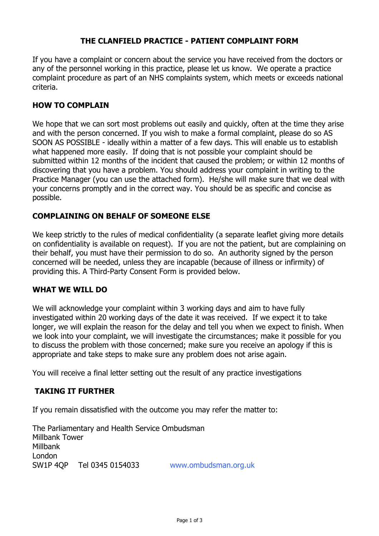# **THE CLANFIELD PRACTICE - PATIENT COMPLAINT FORM**

If you have a complaint or concern about the service you have received from the doctors or any of the personnel working in this practice, please let us know. We operate a practice complaint procedure as part of an NHS complaints system, which meets or exceeds national criteria.

## **HOW TO COMPLAIN**

We hope that we can sort most problems out easily and quickly, often at the time they arise and with the person concerned. If you wish to make a formal complaint, please do so AS SOON AS POSSIBLE - ideally within a matter of a few days. This will enable us to establish what happened more easily. If doing that is not possible your complaint should be submitted within 12 months of the incident that caused the problem; or within 12 months of discovering that you have a problem. You should address your complaint in writing to the Practice Manager (you can use the attached form). He/she will make sure that we deal with your concerns promptly and in the correct way. You should be as specific and concise as possible.

# **COMPLAINING ON BEHALF OF SOMEONE ELSE**

We keep strictly to the rules of medical confidentiality (a separate leaflet giving more details on confidentiality is available on request). If you are not the patient, but are complaining on their behalf, you must have their permission to do so. An authority signed by the person concerned will be needed, unless they are incapable (because of illness or infirmity) of providing this. A Third-Party Consent Form is provided below.

#### **WHAT WE WILL DO**

We will acknowledge your complaint within 3 working days and aim to have fully investigated within 20 working days of the date it was received. If we expect it to take longer, we will explain the reason for the delay and tell you when we expect to finish. When we look into your complaint, we will investigate the circumstances; make it possible for you to discuss the problem with those concerned; make sure you receive an apology if this is appropriate and take steps to make sure any problem does not arise again.

You will receive a final letter setting out the result of any practice investigations

#### **TAKING IT FURTHER**

If you remain dissatisfied with the outcome you may refer the matter to:

The Parliamentary and Health Service Ombudsman Millbank Tower Millbank London SW1P 4QP Tel 0345 0154033 www.ombudsman.org.uk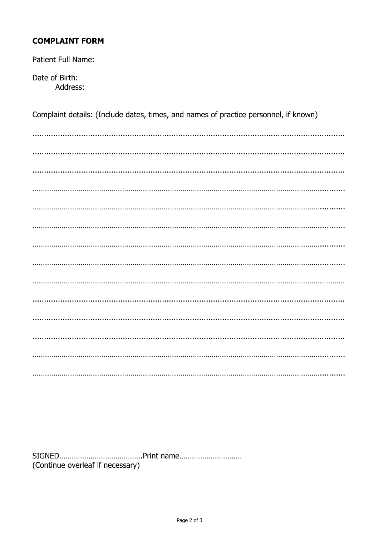# **COMPLAINT FORM**

Patient Full Name:

Date of Birth: Address:

Complaint details: (Include dates, times, and names of practice personnel, if known)

(Continue overleaf if necessary)